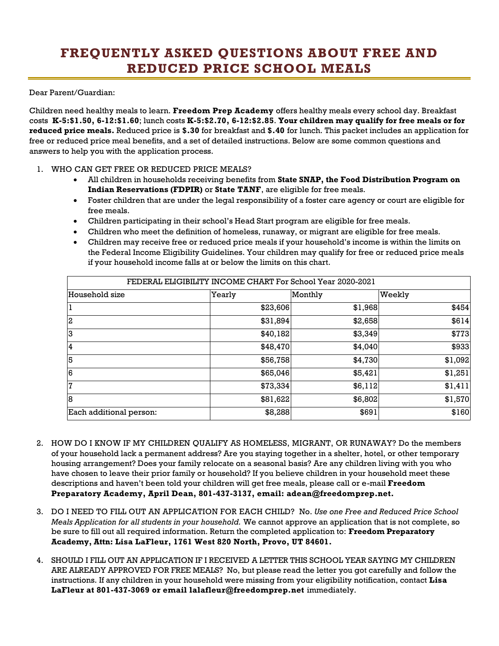## **FREQUENTLY ASKED QUESTIONS ABOUT FREE AND REDUCED PRICE SCHOOL MEALS**

Dear Parent/Guardian:

Children need healthy meals to learn. **Freedom Prep Academy** offers healthy meals every school day. Breakfast costs **K-5:\$1.50, 6-12:\$1.60**; lunch costs **K-5:\$2.70, 6-12:\$2.85**. **Your children may qualify for free meals or for reduced price meals.** Reduced price is **\$.30** for breakfast and **\$.40** for lunch. This packet includes an application for free or reduced price meal benefits, and a set of detailed instructions. Below are some common questions and answers to help you with the application process.

## 1. WHO CAN GET FREE OR REDUCED PRICE MEALS?

- All children in households receiving benefits from **State SNAP, the Food Distribution Program on Indian Reservations (FDPIR)** or **State TANF**, are eligible for free meals.
- Foster children that are under the legal responsibility of a foster care agency or court are eligible for free meals.
- Children participating in their school's Head Start program are eligible for free meals.
- Children who meet the definition of homeless, runaway, or migrant are eligible for free meals.
- Children may receive free or reduced price meals if your household's income is within the limits on the Federal Income Eligibility Guidelines. Your children may qualify for free or reduced price meals if your household income falls at or below the limits on this chart.

| FEDERAL ELIGIBILITY INCOME CHART For School Year 2020-2021 |          |         |         |
|------------------------------------------------------------|----------|---------|---------|
| Household size                                             | Yearly   | Monthly | Weekly  |
|                                                            | \$23,606 | \$1,968 | \$454   |
| $\overline{2}$                                             | \$31,894 | \$2,658 | \$614   |
| 3                                                          | \$40,182 | \$3,349 | \$773   |
| 4                                                          | \$48,470 | \$4,040 | \$933   |
| 5                                                          | \$56,758 | \$4,730 | \$1,092 |
| 6                                                          | \$65,046 | \$5,421 | \$1,251 |
| 7                                                          | \$73,334 | \$6,112 | \$1,411 |
| 18                                                         | \$81,622 | \$6,802 | \$1,570 |
| Each additional person:                                    | \$8,288  | \$691   | \$160   |

- 2. HOW DO I KNOW IF MY CHILDREN QUALIFY AS HOMELESS, MIGRANT, OR RUNAWAY? Do the members of your household lack a permanent address? Are you staying together in a shelter, hotel, or other temporary housing arrangement? Does your family relocate on a seasonal basis? Are any children living with you who have chosen to leave their prior family or household? If you believe children in your household meet these descriptions and haven't been told your children will get free meals, please call or e-mail **Freedom Preparatory Academy, April Dean, 801-437-3137, email: adean@freedomprep.net.**
- 3. DO I NEED TO FILL OUT AN APPLICATION FOR EACH CHILD? No. *Use one Free and Reduced Price School Meals Application for all students in your household.* We cannot approve an application that is not complete, so be sure to fill out all required information. Return the completed application to: **Freedom Preparatory Academy, Attn: Lisa LaFleur, 1761 West 820 North, Provo, UT 84601.**
- 4. SHOULD I FILL OUT AN APPLICATION IF I RECEIVED A LETTER THIS SCHOOL YEAR SAYING MY CHILDREN ARE ALREADY APPROVED FOR FREE MEALS? No, but please read the letter you got carefully and follow the instructions. If any children in your household were missing from your eligibility notification, contact **Lisa LaFleur at 801-437-3069 or email lalafleur@freedomprep.net** immediately.